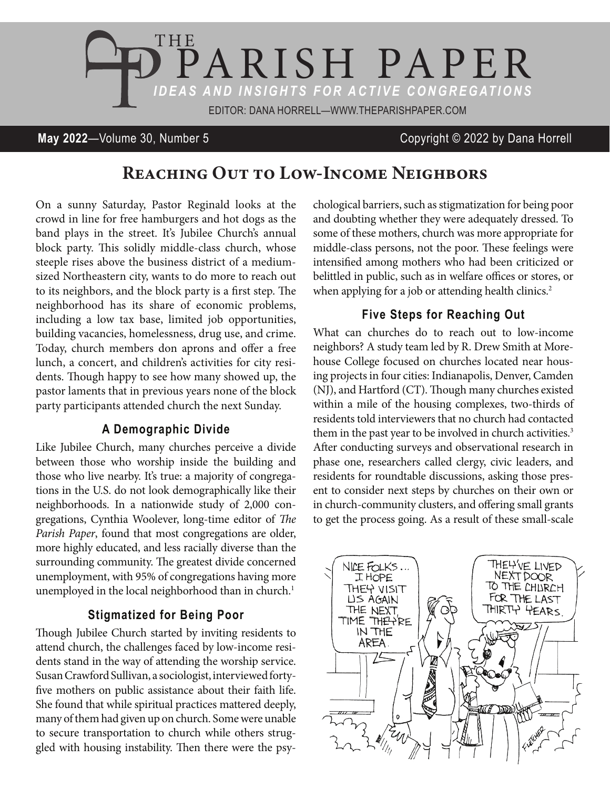

## **May 2022**—Volume 30, Number 5 Copyright © 2022 by Dana Horrell

# REACHING OUT TO LOW-INCOME NEIGHBORS

On a sunny Saturday, Pastor Reginald looks at the crowd in line for free hamburgers and hot dogs as the band plays in the street. It's Jubilee Church's annual block party. This solidly middle-class church, whose steeple rises above the business district of a mediumsized Northeastern city, wants to do more to reach out to its neighbors, and the block party is a first step. The neighborhood has its share of economic problems, including a low tax base, limited job opportunities, building vacancies, homelessness, drug use, and crime. Today, church members don aprons and offer a free lunch, a concert, and children's activities for city residents. Though happy to see how many showed up, the pastor laments that in previous years none of the block party participants attended church the next Sunday.

#### **A Demographic Divide**

Like Jubilee Church, many churches perceive a divide between those who worship inside the building and those who live nearby. It's true: a majority of congregations in the U.S. do not look demographically like their neighborhoods. In a nationwide study of 2,000 congregations, Cynthia Woolever, long-time editor of *The Parish Paper*, found that most congregations are older, more highly educated, and less racially diverse than the surrounding community. The greatest divide concerned unemployment, with 95% of congregations having more unemployed in the local neighborhood than in church.<sup>1</sup>

#### **Stigmatized for Being Poor**

Though Jubilee Church started by inviting residents to attend church, the challenges faced by low-income residents stand in the way of attending the worship service. Susan Crawford Sullivan, a sociologist, interviewed fortyfive mothers on public assistance about their faith life. She found that while spiritual practices mattered deeply, many of them had given up on church. Some were unable to secure transportation to church while others struggled with housing instability. Then there were the psychological barriers, such as stigmatization for being poor and doubting whether they were adequately dressed. To some of these mothers, church was more appropriate for middle-class persons, not the poor. These feelings were intensified among mothers who had been criticized or belittled in public, such as in welfare offices or stores, or when applying for a job or attending health clinics.<sup>2</sup>

### **Five Steps for Reaching Out**

What can churches do to reach out to low-income neighbors? A study team led by R. Drew Smith at Morehouse College focused on churches located near housing projects in four cities: Indianapolis, Denver, Camden (NJ), and Hartford (CT). Though many churches existed within a mile of the housing complexes, two-thirds of residents told interviewers that no church had contacted them in the past year to be involved in church activities.<sup>3</sup> After conducting surveys and observational research in phase one, researchers called clergy, civic leaders, and residents for roundtable discussions, asking those present to consider next steps by churches on their own or in church-community clusters, and offering small grants to get the process going. As a result of these small-scale